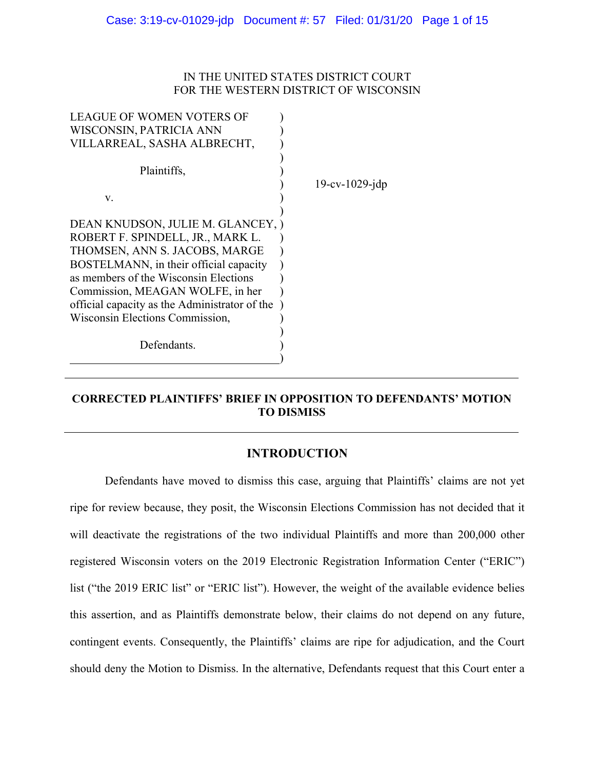## IN THE UNITED STATES DISTRICT COURT FOR THE WESTERN DISTRICT OF WISCONSIN

| <b>LEAGUE OF WOMEN VOTERS OF</b><br>WISCONSIN, PATRICIA ANN                                                                                                                                                                                                                                                       |                   |
|-------------------------------------------------------------------------------------------------------------------------------------------------------------------------------------------------------------------------------------------------------------------------------------------------------------------|-------------------|
| VILLARREAL, SASHA ALBRECHT,                                                                                                                                                                                                                                                                                       |                   |
| Plaintiffs,                                                                                                                                                                                                                                                                                                       |                   |
|                                                                                                                                                                                                                                                                                                                   | $19-cv-1029$ -jdp |
| V.                                                                                                                                                                                                                                                                                                                |                   |
| DEAN KNUDSON, JULIE M. GLANCEY, )<br>ROBERT F. SPINDELL, JR., MARK L.<br>THOMSEN, ANN S. JACOBS, MARGE<br>BOSTELMANN, in their official capacity<br>as members of the Wisconsin Elections<br>Commission, MEAGAN WOLFE, in her<br>official capacity as the Administrator of the<br>Wisconsin Elections Commission, |                   |
|                                                                                                                                                                                                                                                                                                                   |                   |
| Defendants.                                                                                                                                                                                                                                                                                                       |                   |

## **CORRECTED PLAINTIFFS' BRIEF IN OPPOSITION TO DEFENDANTS' MOTION TO DISMISS**

## **INTRODUCTION**

Defendants have moved to dismiss this case, arguing that Plaintiffs' claims are not yet ripe for review because, they posit, the Wisconsin Elections Commission has not decided that it will deactivate the registrations of the two individual Plaintiffs and more than 200,000 other registered Wisconsin voters on the 2019 Electronic Registration Information Center ("ERIC") list ("the 2019 ERIC list" or "ERIC list"). However, the weight of the available evidence belies this assertion, and as Plaintiffs demonstrate below, their claims do not depend on any future, contingent events. Consequently, the Plaintiffs' claims are ripe for adjudication, and the Court should deny the Motion to Dismiss. In the alternative, Defendants request that this Court enter a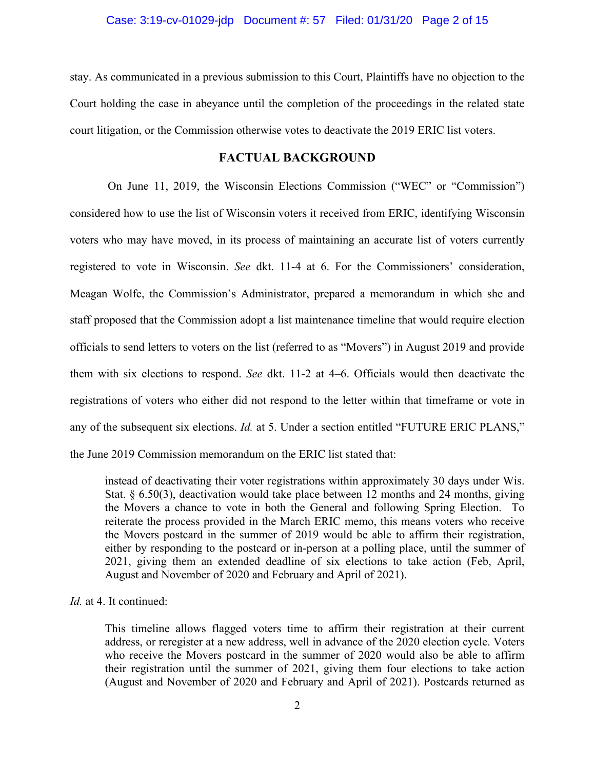stay. As communicated in a previous submission to this Court, Plaintiffs have no objection to the Court holding the case in abeyance until the completion of the proceedings in the related state court litigation, or the Commission otherwise votes to deactivate the 2019 ERIC list voters.

### **FACTUAL BACKGROUND**

On June 11, 2019, the Wisconsin Elections Commission ("WEC" or "Commission") considered how to use the list of Wisconsin voters it received from ERIC, identifying Wisconsin voters who may have moved, in its process of maintaining an accurate list of voters currently registered to vote in Wisconsin. *See* dkt. 11-4 at 6. For the Commissioners' consideration, Meagan Wolfe, the Commission's Administrator, prepared a memorandum in which she and staff proposed that the Commission adopt a list maintenance timeline that would require election officials to send letters to voters on the list (referred to as "Movers") in August 2019 and provide them with six elections to respond. *See* dkt. 11-2 at 4–6. Officials would then deactivate the registrations of voters who either did not respond to the letter within that timeframe or vote in any of the subsequent six elections. *Id.* at 5. Under a section entitled "FUTURE ERIC PLANS," the June 2019 Commission memorandum on the ERIC list stated that:

instead of deactivating their voter registrations within approximately 30 days under Wis. Stat. § 6.50(3), deactivation would take place between 12 months and 24 months, giving the Movers a chance to vote in both the General and following Spring Election. To reiterate the process provided in the March ERIC memo, this means voters who receive the Movers postcard in the summer of 2019 would be able to affirm their registration, either by responding to the postcard or in-person at a polling place, until the summer of 2021, giving them an extended deadline of six elections to take action (Feb, April, August and November of 2020 and February and April of 2021).

## *Id.* at 4. It continued:

This timeline allows flagged voters time to affirm their registration at their current address, or reregister at a new address, well in advance of the 2020 election cycle. Voters who receive the Movers postcard in the summer of 2020 would also be able to affirm their registration until the summer of 2021, giving them four elections to take action (August and November of 2020 and February and April of 2021). Postcards returned as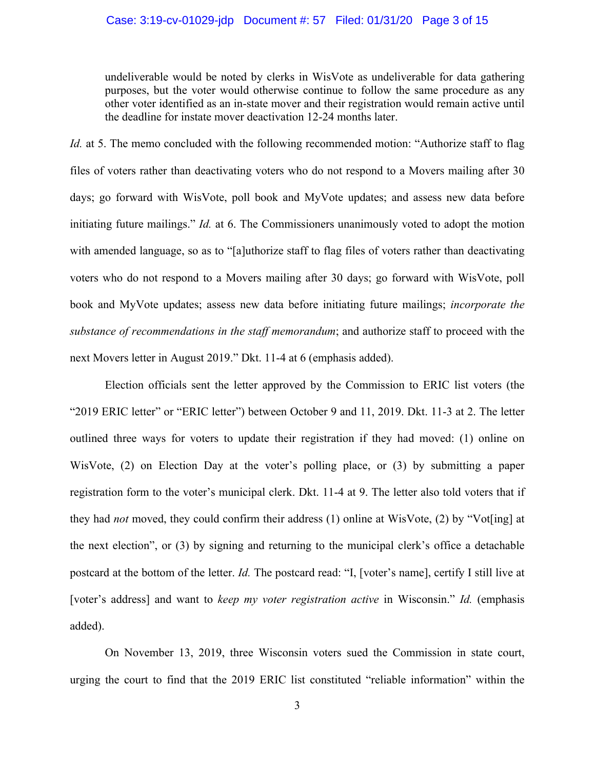undeliverable would be noted by clerks in WisVote as undeliverable for data gathering purposes, but the voter would otherwise continue to follow the same procedure as any other voter identified as an in-state mover and their registration would remain active until the deadline for instate mover deactivation 12-24 months later.

*Id.* at 5. The memo concluded with the following recommended motion: "Authorize staff to flag files of voters rather than deactivating voters who do not respond to a Movers mailing after 30 days; go forward with WisVote, poll book and MyVote updates; and assess new data before initiating future mailings." *Id.* at 6. The Commissioners unanimously voted to adopt the motion with amended language, so as to "[a]uthorize staff to flag files of voters rather than deactivating voters who do not respond to a Movers mailing after 30 days; go forward with WisVote, poll book and MyVote updates; assess new data before initiating future mailings; *incorporate the substance of recommendations in the staff memorandum*; and authorize staff to proceed with the next Movers letter in August 2019." Dkt. 11-4 at 6 (emphasis added).

Election officials sent the letter approved by the Commission to ERIC list voters (the "2019 ERIC letter" or "ERIC letter") between October 9 and 11, 2019. Dkt. 11-3 at 2. The letter outlined three ways for voters to update their registration if they had moved: (1) online on WisVote, (2) on Election Day at the voter's polling place, or (3) by submitting a paper registration form to the voter's municipal clerk. Dkt. 11-4 at 9. The letter also told voters that if they had *not* moved, they could confirm their address (1) online at WisVote, (2) by "Vot[ing] at the next election", or (3) by signing and returning to the municipal clerk's office a detachable postcard at the bottom of the letter. *Id.* The postcard read: "I, [voter's name], certify I still live at [voter's address] and want to *keep my voter registration active* in Wisconsin." *Id.* (emphasis added).

On November 13, 2019, three Wisconsin voters sued the Commission in state court, urging the court to find that the 2019 ERIC list constituted "reliable information" within the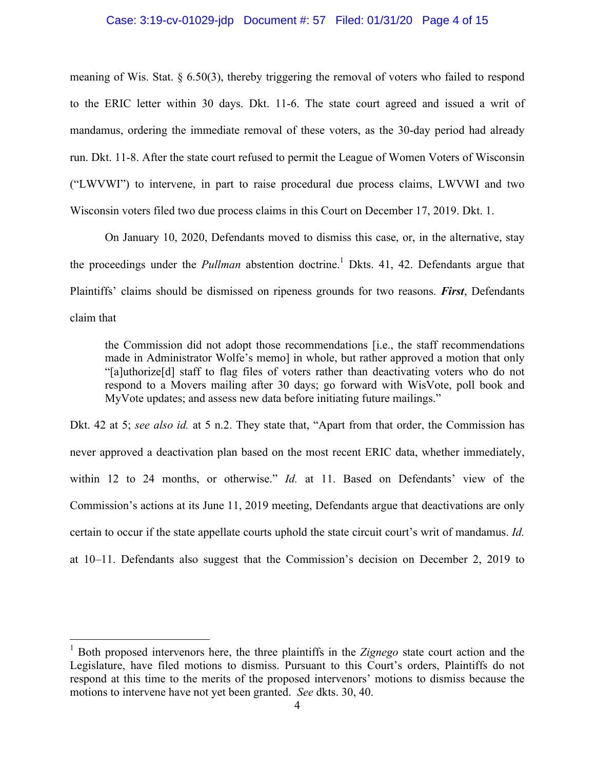### Case: 3:19-cv-01029-jdp Document #: 57 Filed: 01/31/20 Page 4 of 15

meaning of Wis. Stat. § 6.50(3), thereby triggering the removal of voters who failed to respond to the ERIC letter within 30 days. Dkt. 11-6. The state court agreed and issued a writ of mandamus, ordering the immediate removal of these voters, as the 30-day period had already run. Dkt. 11-8. After the state court refused to permit the League of Women Voters of Wisconsin ("LWVWI") to intervene, in part to raise procedural due process claims, LWVWI and two Wisconsin voters filed two due process claims in this Court on December 17, 2019. Dkt. 1.

On January 10, 2020, Defendants moved to dismiss this case, or, in the alternative, stay the proceedings under the *Pullman* abstention doctrine.<sup>1</sup> Dkts. 41, 42. Defendants argue that Plaintiffs' claims should be dismissed on ripeness grounds for two reasons. *First*, Defendants claim that

the Commission did not adopt those recommendations [i.e., the staff recommendations made in Administrator Wolfe's memo] in whole, but rather approved a motion that only "[a]uthorize[d] staff to flag files of voters rather than deactivating voters who do not respond to a Movers mailing after 30 days; go forward with WisVote, poll book and MyVote updates; and assess new data before initiating future mailings."

Dkt. 42 at 5; *see also id.* at 5 n.2. They state that, "Apart from that order, the Commission has never approved a deactivation plan based on the most recent ERIC data, whether immediately, within 12 to 24 months, or otherwise." *Id.* at 11. Based on Defendants' view of the Commission's actions at its June 11, 2019 meeting, Defendants argue that deactivations are only certain to occur if the state appellate courts uphold the state circuit court's writ of mandamus. *Id.*  at 10–11. Defendants also suggest that the Commission's decision on December 2, 2019 to

 <sup>1</sup> Both proposed intervenors here, the three plaintiffs in the *Zignego* state court action and the Legislature, have filed motions to dismiss. Pursuant to this Court's orders, Plaintiffs do not respond at this time to the merits of the proposed intervenors' motions to dismiss because the motions to intervene have not yet been granted. *See* dkts. 30, 40.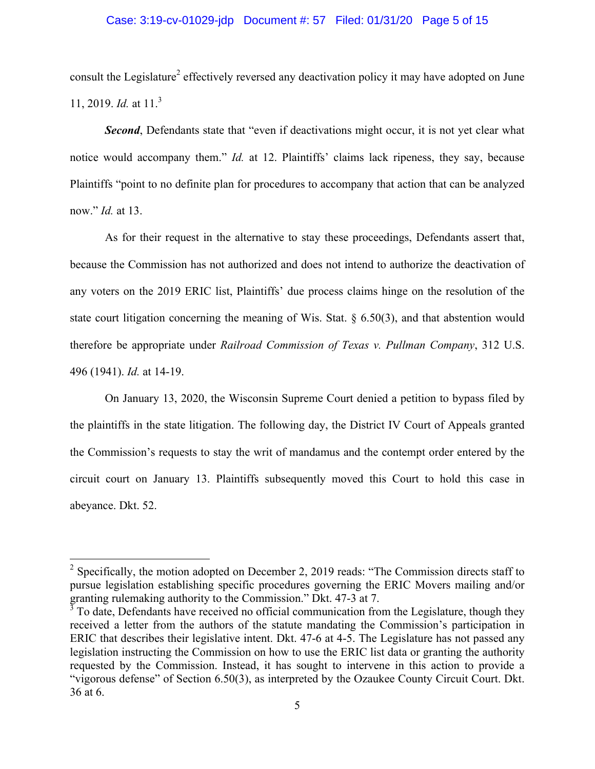### Case: 3:19-cv-01029-jdp Document #: 57 Filed: 01/31/20 Page 5 of 15

consult the Legislature<sup>2</sup> effectively reversed any deactivation policy it may have adopted on June 11, 2019. *Id.* at 11.<sup>3</sup>

**Second**, Defendants state that "even if deactivations might occur, it is not yet clear what notice would accompany them." *Id.* at 12. Plaintiffs' claims lack ripeness, they say, because Plaintiffs "point to no definite plan for procedures to accompany that action that can be analyzed now." *Id.* at 13.

As for their request in the alternative to stay these proceedings, Defendants assert that, because the Commission has not authorized and does not intend to authorize the deactivation of any voters on the 2019 ERIC list, Plaintiffs' due process claims hinge on the resolution of the state court litigation concerning the meaning of Wis. Stat.  $\S$  6.50(3), and that abstention would therefore be appropriate under *Railroad Commission of Texas v. Pullman Company*, 312 U.S. 496 (1941). *Id.* at 14-19.

On January 13, 2020, the Wisconsin Supreme Court denied a petition to bypass filed by the plaintiffs in the state litigation. The following day, the District IV Court of Appeals granted the Commission's requests to stay the writ of mandamus and the contempt order entered by the circuit court on January 13. Plaintiffs subsequently moved this Court to hold this case in abeyance. Dkt. 52.

 $2$  Specifically, the motion adopted on December 2, 2019 reads: "The Commission directs staff to pursue legislation establishing specific procedures governing the ERIC Movers mailing and/or granting rulemaking authority to the Commission." Dkt. 47-3 at 7.

 $3<sup>3</sup>$  To date, Defendants have received no official communication from the Legislature, though they received a letter from the authors of the statute mandating the Commission's participation in ERIC that describes their legislative intent. Dkt. 47-6 at 4-5. The Legislature has not passed any legislation instructing the Commission on how to use the ERIC list data or granting the authority requested by the Commission. Instead, it has sought to intervene in this action to provide a "vigorous defense" of Section 6.50(3), as interpreted by the Ozaukee County Circuit Court. Dkt. 36 at 6.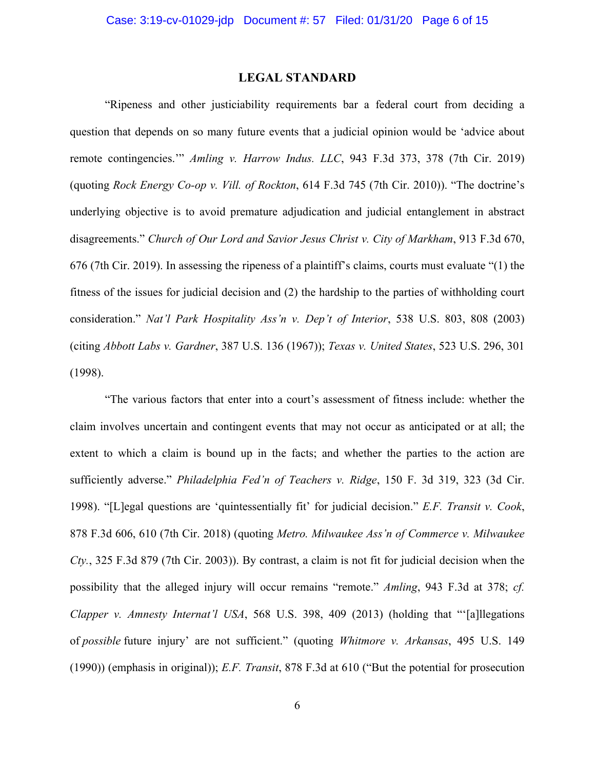### **LEGAL STANDARD**

"Ripeness and other justiciability requirements bar a federal court from deciding a question that depends on so many future events that a judicial opinion would be 'advice about remote contingencies.'" *Amling v. Harrow Indus. LLC*, 943 F.3d 373, 378 (7th Cir. 2019) (quoting *Rock Energy Co-op v. Vill. of Rockton*, 614 F.3d 745 (7th Cir. 2010)). "The doctrine's underlying objective is to avoid premature adjudication and judicial entanglement in abstract disagreements." *Church of Our Lord and Savior Jesus Christ v. City of Markham*, 913 F.3d 670, 676 (7th Cir. 2019). In assessing the ripeness of a plaintiff's claims, courts must evaluate "(1) the fitness of the issues for judicial decision and (2) the hardship to the parties of withholding court consideration." *Nat'l Park Hospitality Ass'n v. Dep't of Interior*, 538 U.S. 803, 808 (2003) (citing *Abbott Labs v. Gardner*, 387 U.S. 136 (1967)); *Texas v. United States*, 523 U.S. 296, 301 (1998).

"The various factors that enter into a court's assessment of fitness include: whether the claim involves uncertain and contingent events that may not occur as anticipated or at all; the extent to which a claim is bound up in the facts; and whether the parties to the action are sufficiently adverse." *Philadelphia Fed'n of Teachers v. Ridge*, 150 F. 3d 319, 323 (3d Cir. 1998). "[L]egal questions are 'quintessentially fit' for judicial decision." *E.F. Transit v. Cook*, 878 F.3d 606, 610 (7th Cir. 2018) (quoting *Metro. Milwaukee Ass'n of Commerce v. Milwaukee Cty.*, 325 F.3d 879 (7th Cir. 2003)). By contrast, a claim is not fit for judicial decision when the possibility that the alleged injury will occur remains "remote." *Amling*, 943 F.3d at 378; *cf. Clapper v. Amnesty Internat'l USA*, 568 U.S. 398, 409 (2013) (holding that "'[a]llegations of *possible* future injury' are not sufficient." (quoting *Whitmore v. Arkansas*, 495 U.S. 149 (1990)) (emphasis in original)); *E.F. Transit*, 878 F.3d at 610 ("But the potential for prosecution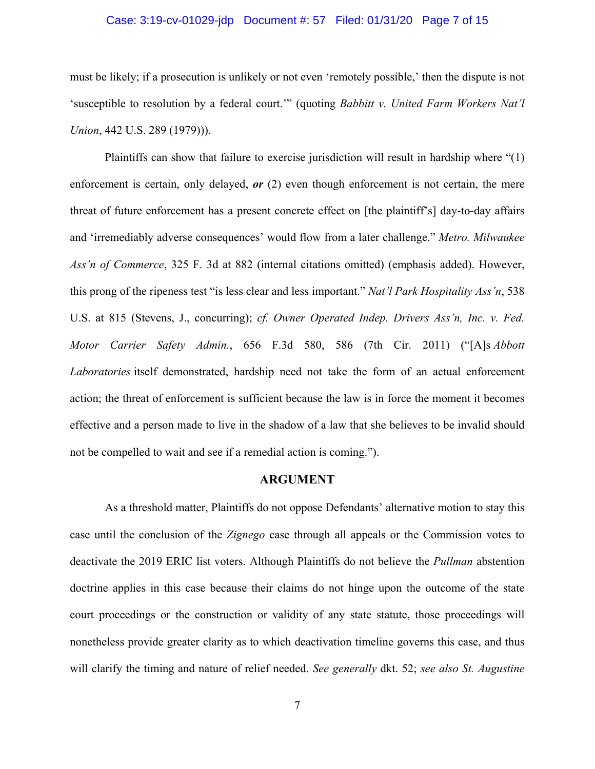### Case: 3:19-cv-01029-jdp Document #: 57 Filed: 01/31/20 Page 7 of 15

must be likely; if a prosecution is unlikely or not even 'remotely possible,' then the dispute is not 'susceptible to resolution by a federal court.'" (quoting *Babbitt v. United Farm Workers Nat'l Union*, 442 U.S. 289 (1979))).

Plaintiffs can show that failure to exercise jurisdiction will result in hardship where "(1) enforcement is certain, only delayed, *or* (2) even though enforcement is not certain, the mere threat of future enforcement has a present concrete effect on [the plaintiff's] day-to-day affairs and 'irremediably adverse consequences' would flow from a later challenge." *Metro. Milwaukee Ass'n of Commerce*, 325 F. 3d at 882 (internal citations omitted) (emphasis added). However, this prong of the ripeness test "is less clear and less important." *Nat'l Park Hospitality Ass'n*, 538 U.S. at 815 (Stevens, J., concurring); *cf. Owner Operated Indep. Drivers Ass'n, Inc. v. Fed. Motor Carrier Safety Admin.*, 656 F.3d 580, 586 (7th Cir. 2011) ("[A]s *Abbott Laboratories* itself demonstrated, hardship need not take the form of an actual enforcement action; the threat of enforcement is sufficient because the law is in force the moment it becomes effective and a person made to live in the shadow of a law that she believes to be invalid should not be compelled to wait and see if a remedial action is coming.").

### **ARGUMENT**

As a threshold matter, Plaintiffs do not oppose Defendants' alternative motion to stay this case until the conclusion of the *Zignego* case through all appeals or the Commission votes to deactivate the 2019 ERIC list voters. Although Plaintiffs do not believe the *Pullman* abstention doctrine applies in this case because their claims do not hinge upon the outcome of the state court proceedings or the construction or validity of any state statute, those proceedings will nonetheless provide greater clarity as to which deactivation timeline governs this case, and thus will clarify the timing and nature of relief needed. *See generally* dkt. 52; *see also St. Augustine*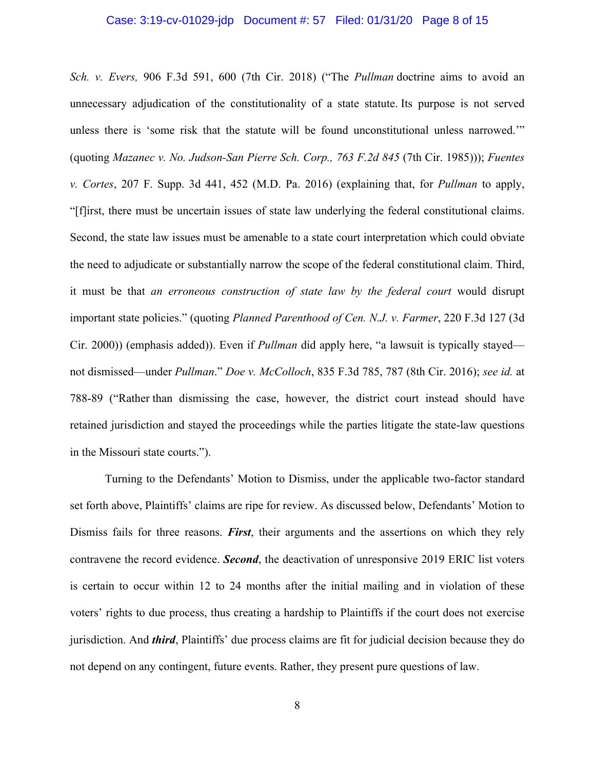### Case: 3:19-cv-01029-jdp Document #: 57 Filed: 01/31/20 Page 8 of 15

*Sch. v. Evers,* 906 F.3d 591, 600 (7th Cir. 2018) ("The *Pullman* doctrine aims to avoid an unnecessary adjudication of the constitutionality of a state statute. Its purpose is not served unless there is 'some risk that the statute will be found unconstitutional unless narrowed.'" (quoting *Mazanec v. No. Judson-San Pierre Sch. Corp., 763 F.2d 845* (7th Cir. 1985))); *Fuentes v. Cortes*, 207 F. Supp. 3d 441, 452 (M.D. Pa. 2016) (explaining that, for *Pullman* to apply, "[f]irst, there must be uncertain issues of state law underlying the federal constitutional claims. Second, the state law issues must be amenable to a state court interpretation which could obviate the need to adjudicate or substantially narrow the scope of the federal constitutional claim. Third, it must be that *an erroneous construction of state law by the federal court* would disrupt important state policies." (quoting *Planned Parenthood of Cen. N.J. v. Farmer*, 220 F.3d 127 (3d Cir. 2000)) (emphasis added)). Even if *Pullman* did apply here, "a lawsuit is typically stayed not dismissed—under *Pullman*." *Doe v. McColloch*, 835 F.3d 785, 787 (8th Cir. 2016); *see id.* at 788-89 ("Rather than dismissing the case, however, the district court instead should have retained jurisdiction and stayed the proceedings while the parties litigate the state-law questions in the Missouri state courts.").

Turning to the Defendants' Motion to Dismiss, under the applicable two-factor standard set forth above, Plaintiffs' claims are ripe for review. As discussed below, Defendants' Motion to Dismiss fails for three reasons. *First*, their arguments and the assertions on which they rely contravene the record evidence. *Second*, the deactivation of unresponsive 2019 ERIC list voters is certain to occur within 12 to 24 months after the initial mailing and in violation of these voters' rights to due process, thus creating a hardship to Plaintiffs if the court does not exercise jurisdiction. And *third*, Plaintiffs' due process claims are fit for judicial decision because they do not depend on any contingent, future events. Rather, they present pure questions of law.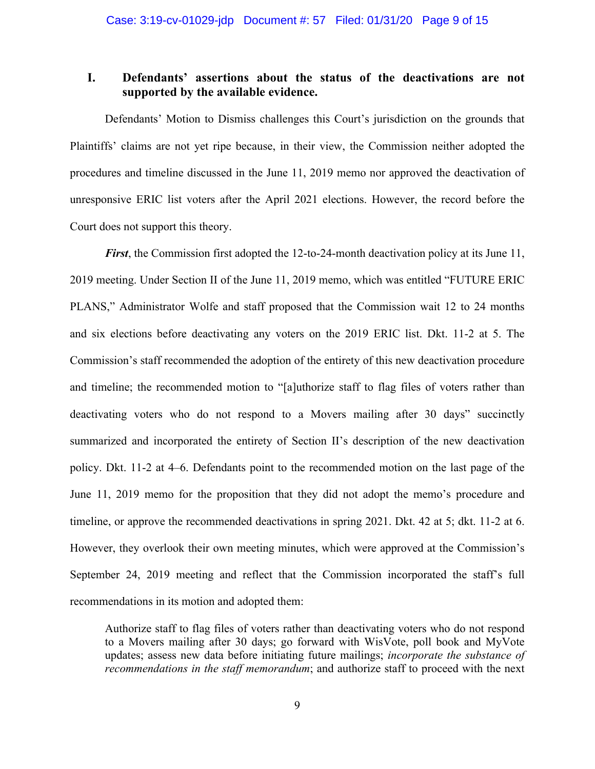# **I. Defendants' assertions about the status of the deactivations are not supported by the available evidence.**

Defendants' Motion to Dismiss challenges this Court's jurisdiction on the grounds that Plaintiffs' claims are not yet ripe because, in their view, the Commission neither adopted the procedures and timeline discussed in the June 11, 2019 memo nor approved the deactivation of unresponsive ERIC list voters after the April 2021 elections. However, the record before the Court does not support this theory.

*First*, the Commission first adopted the 12-to-24-month deactivation policy at its June 11, 2019 meeting. Under Section II of the June 11, 2019 memo, which was entitled "FUTURE ERIC PLANS," Administrator Wolfe and staff proposed that the Commission wait 12 to 24 months and six elections before deactivating any voters on the 2019 ERIC list. Dkt. 11-2 at 5. The Commission's staff recommended the adoption of the entirety of this new deactivation procedure and timeline; the recommended motion to "[a]uthorize staff to flag files of voters rather than deactivating voters who do not respond to a Movers mailing after 30 days" succinctly summarized and incorporated the entirety of Section II's description of the new deactivation policy. Dkt. 11-2 at 4–6. Defendants point to the recommended motion on the last page of the June 11, 2019 memo for the proposition that they did not adopt the memo's procedure and timeline, or approve the recommended deactivations in spring 2021. Dkt. 42 at 5; dkt. 11-2 at 6. However, they overlook their own meeting minutes, which were approved at the Commission's September 24, 2019 meeting and reflect that the Commission incorporated the staff's full recommendations in its motion and adopted them:

Authorize staff to flag files of voters rather than deactivating voters who do not respond to a Movers mailing after 30 days; go forward with WisVote, poll book and MyVote updates; assess new data before initiating future mailings; *incorporate the substance of recommendations in the staff memorandum*; and authorize staff to proceed with the next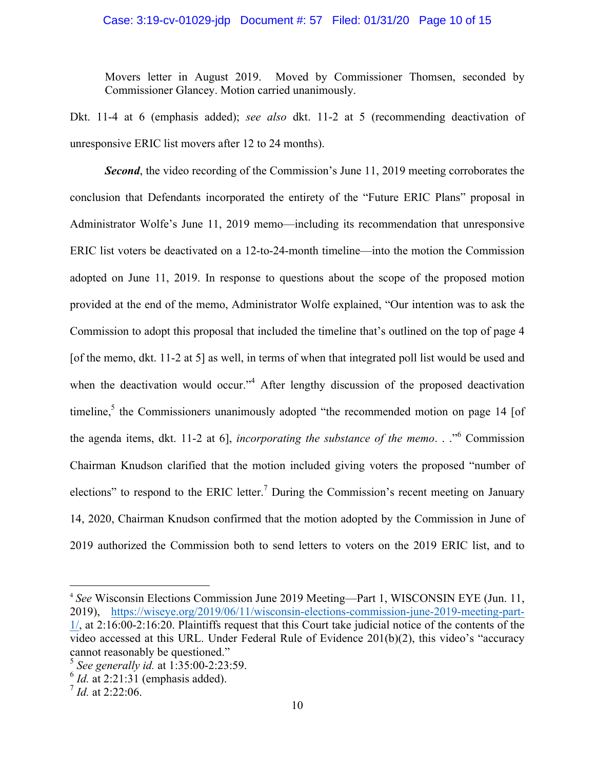### Case: 3:19-cv-01029-jdp Document #: 57 Filed: 01/31/20 Page 10 of 15

Movers letter in August 2019. Moved by Commissioner Thomsen, seconded by Commissioner Glancey. Motion carried unanimously.

Dkt. 11-4 at 6 (emphasis added); *see also* dkt. 11-2 at 5 (recommending deactivation of unresponsive ERIC list movers after 12 to 24 months).

**Second**, the video recording of the Commission's June 11, 2019 meeting corroborates the conclusion that Defendants incorporated the entirety of the "Future ERIC Plans" proposal in Administrator Wolfe's June 11, 2019 memo—including its recommendation that unresponsive ERIC list voters be deactivated on a 12-to-24-month timeline—into the motion the Commission adopted on June 11, 2019. In response to questions about the scope of the proposed motion provided at the end of the memo, Administrator Wolfe explained, "Our intention was to ask the Commission to adopt this proposal that included the timeline that's outlined on the top of page 4 [of the memo, dkt. 11-2 at 5] as well, in terms of when that integrated poll list would be used and when the deactivation would occur."<sup>4</sup> After lengthy discussion of the proposed deactivation timeline, $5$  the Commissioners unanimously adopted "the recommended motion on page 14 [of the agenda items, dkt. 11-2 at 6], *incorporating the substance of the memo*. . ."<sup>6</sup> Commission Chairman Knudson clarified that the motion included giving voters the proposed "number of elections" to respond to the ERIC letter.<sup>7</sup> During the Commission's recent meeting on January 14, 2020, Chairman Knudson confirmed that the motion adopted by the Commission in June of 2019 authorized the Commission both to send letters to voters on the 2019 ERIC list, and to

 <sup>4</sup> *See* Wisconsin Elections Commission June 2019 Meeting—Part 1, WISCONSIN EYE (Jun. 11, 2019), https://wiseye.org/2019/06/11/wisconsin-elections-commission-june-2019-meeting-part-1/, at 2:16:00-2:16:20. Plaintiffs request that this Court take judicial notice of the contents of the video accessed at this URL. Under Federal Rule of Evidence 201(b)(2), this video's "accuracy cannot reasonably be questioned." <sup>5</sup> *See generally id.* at 1:35:00-2:23:59.

 $6$  *Id.* at 2:21:31 (emphasis added).

 $^{7}$  *Id.* at 2:22:06.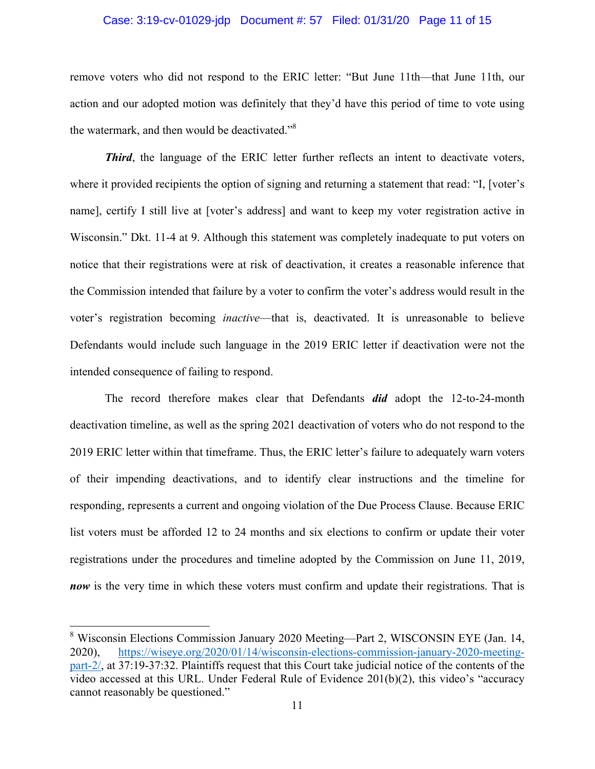### Case: 3:19-cv-01029-jdp Document #: 57 Filed: 01/31/20 Page 11 of 15

remove voters who did not respond to the ERIC letter: "But June 11th—that June 11th, our action and our adopted motion was definitely that they'd have this period of time to vote using the watermark, and then would be deactivated."<sup>8</sup>

**Third**, the language of the ERIC letter further reflects an intent to deactivate voters, where it provided recipients the option of signing and returning a statement that read: "I, [voter's name], certify I still live at [voter's address] and want to keep my voter registration active in Wisconsin." Dkt. 11-4 at 9. Although this statement was completely inadequate to put voters on notice that their registrations were at risk of deactivation, it creates a reasonable inference that the Commission intended that failure by a voter to confirm the voter's address would result in the voter's registration becoming *inactive*—that is, deactivated. It is unreasonable to believe Defendants would include such language in the 2019 ERIC letter if deactivation were not the intended consequence of failing to respond.

The record therefore makes clear that Defendants *did* adopt the 12-to-24-month deactivation timeline, as well as the spring 2021 deactivation of voters who do not respond to the 2019 ERIC letter within that timeframe. Thus, the ERIC letter's failure to adequately warn voters of their impending deactivations, and to identify clear instructions and the timeline for responding, represents a current and ongoing violation of the Due Process Clause. Because ERIC list voters must be afforded 12 to 24 months and six elections to confirm or update their voter registrations under the procedures and timeline adopted by the Commission on June 11, 2019, *now* is the very time in which these voters must confirm and update their registrations. That is

 <sup>8</sup> Wisconsin Elections Commission January 2020 Meeting—Part 2, WISCONSIN EYE (Jan. 14, 2020), https://wiseye.org/2020/01/14/wisconsin-elections-commission-january-2020-meetingpart-2/, at 37:19-37:32. Plaintiffs request that this Court take judicial notice of the contents of the video accessed at this URL. Under Federal Rule of Evidence 201(b)(2), this video's "accuracy cannot reasonably be questioned."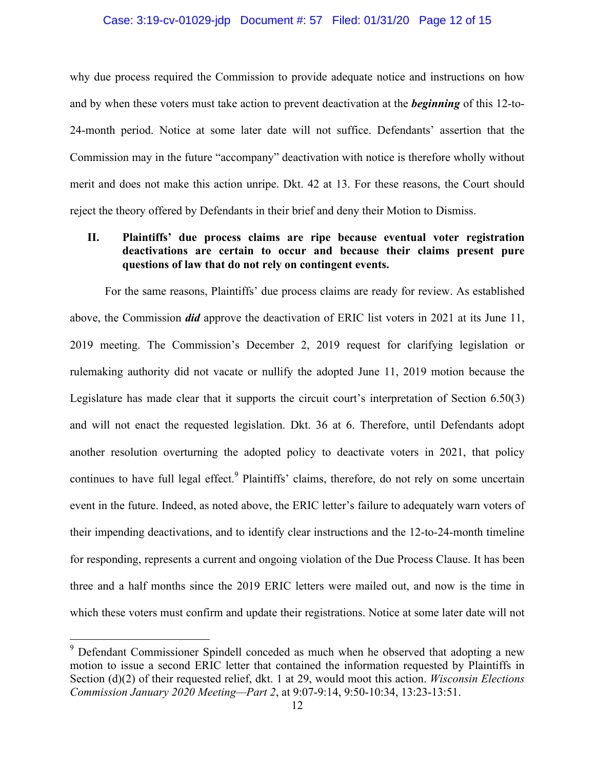### Case: 3:19-cv-01029-jdp Document #: 57 Filed: 01/31/20 Page 12 of 15

why due process required the Commission to provide adequate notice and instructions on how and by when these voters must take action to prevent deactivation at the *beginning* of this 12-to-24-month period. Notice at some later date will not suffice. Defendants' assertion that the Commission may in the future "accompany" deactivation with notice is therefore wholly without merit and does not make this action unripe. Dkt. 42 at 13. For these reasons, the Court should reject the theory offered by Defendants in their brief and deny their Motion to Dismiss.

## **II. Plaintiffs' due process claims are ripe because eventual voter registration deactivations are certain to occur and because their claims present pure questions of law that do not rely on contingent events.**

For the same reasons, Plaintiffs' due process claims are ready for review. As established above, the Commission *did* approve the deactivation of ERIC list voters in 2021 at its June 11, 2019 meeting. The Commission's December 2, 2019 request for clarifying legislation or rulemaking authority did not vacate or nullify the adopted June 11, 2019 motion because the Legislature has made clear that it supports the circuit court's interpretation of Section 6.50(3) and will not enact the requested legislation. Dkt. 36 at 6. Therefore, until Defendants adopt another resolution overturning the adopted policy to deactivate voters in 2021, that policy continues to have full legal effect.<sup>9</sup> Plaintiffs' claims, therefore, do not rely on some uncertain event in the future. Indeed, as noted above, the ERIC letter's failure to adequately warn voters of their impending deactivations, and to identify clear instructions and the 12-to-24-month timeline for responding, represents a current and ongoing violation of the Due Process Clause. It has been three and a half months since the 2019 ERIC letters were mailed out, and now is the time in which these voters must confirm and update their registrations. Notice at some later date will not

<sup>&</sup>lt;sup>9</sup> Defendant Commissioner Spindell conceded as much when he observed that adopting a new motion to issue a second ERIC letter that contained the information requested by Plaintiffs in Section (d)(2) of their requested relief, dkt. 1 at 29, would moot this action. *Wisconsin Elections Commission January 2020 Meeting—Part 2*, at 9:07-9:14, 9:50-10:34, 13:23-13:51.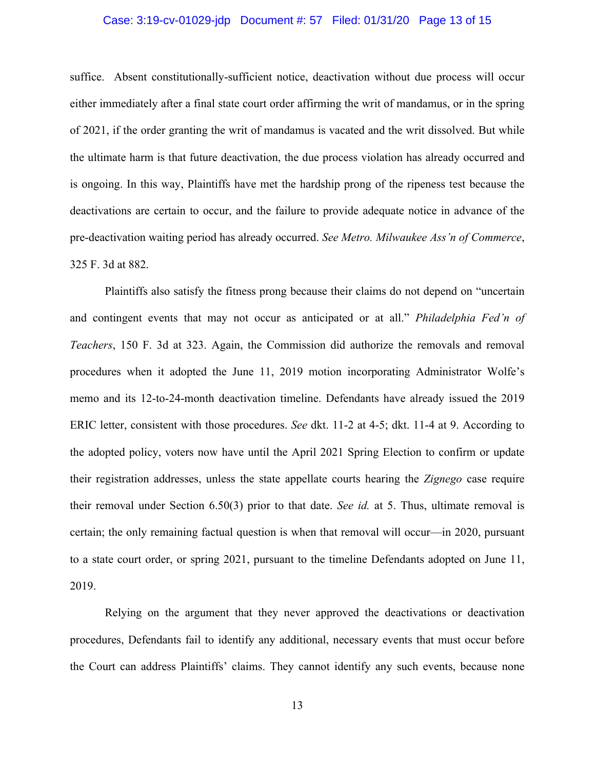### Case: 3:19-cv-01029-jdp Document #: 57 Filed: 01/31/20 Page 13 of 15

suffice. Absent constitutionally-sufficient notice, deactivation without due process will occur either immediately after a final state court order affirming the writ of mandamus, or in the spring of 2021, if the order granting the writ of mandamus is vacated and the writ dissolved. But while the ultimate harm is that future deactivation, the due process violation has already occurred and is ongoing. In this way, Plaintiffs have met the hardship prong of the ripeness test because the deactivations are certain to occur, and the failure to provide adequate notice in advance of the pre-deactivation waiting period has already occurred. *See Metro. Milwaukee Ass'n of Commerce*, 325 F. 3d at 882.

Plaintiffs also satisfy the fitness prong because their claims do not depend on "uncertain and contingent events that may not occur as anticipated or at all." *Philadelphia Fed'n of Teachers*, 150 F. 3d at 323. Again, the Commission did authorize the removals and removal procedures when it adopted the June 11, 2019 motion incorporating Administrator Wolfe's memo and its 12-to-24-month deactivation timeline. Defendants have already issued the 2019 ERIC letter, consistent with those procedures. *See* dkt. 11-2 at 4-5; dkt. 11-4 at 9. According to the adopted policy, voters now have until the April 2021 Spring Election to confirm or update their registration addresses, unless the state appellate courts hearing the *Zignego* case require their removal under Section 6.50(3) prior to that date. *See id.* at 5. Thus, ultimate removal is certain; the only remaining factual question is when that removal will occur—in 2020, pursuant to a state court order, or spring 2021, pursuant to the timeline Defendants adopted on June 11, 2019.

Relying on the argument that they never approved the deactivations or deactivation procedures, Defendants fail to identify any additional, necessary events that must occur before the Court can address Plaintiffs' claims. They cannot identify any such events, because none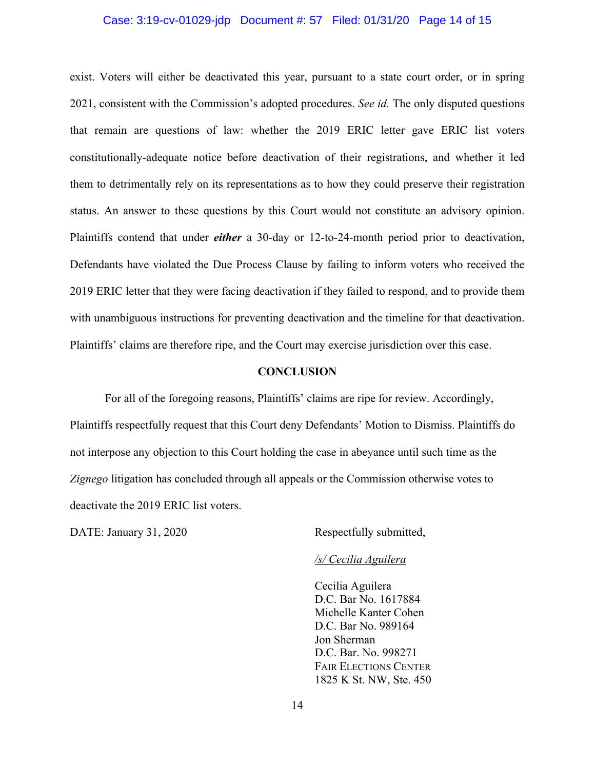### Case: 3:19-cv-01029-jdp Document #: 57 Filed: 01/31/20 Page 14 of 15

exist. Voters will either be deactivated this year, pursuant to a state court order, or in spring 2021, consistent with the Commission's adopted procedures. *See id.* The only disputed questions that remain are questions of law: whether the 2019 ERIC letter gave ERIC list voters constitutionally-adequate notice before deactivation of their registrations, and whether it led them to detrimentally rely on its representations as to how they could preserve their registration status. An answer to these questions by this Court would not constitute an advisory opinion. Plaintiffs contend that under *either* a 30-day or 12-to-24-month period prior to deactivation, Defendants have violated the Due Process Clause by failing to inform voters who received the 2019 ERIC letter that they were facing deactivation if they failed to respond, and to provide them with unambiguous instructions for preventing deactivation and the timeline for that deactivation. Plaintiffs' claims are therefore ripe, and the Court may exercise jurisdiction over this case.

#### **CONCLUSION**

For all of the foregoing reasons, Plaintiffs' claims are ripe for review. Accordingly, Plaintiffs respectfully request that this Court deny Defendants' Motion to Dismiss. Plaintiffs do not interpose any objection to this Court holding the case in abeyance until such time as the *Zignego* litigation has concluded through all appeals or the Commission otherwise votes to deactivate the 2019 ERIC list voters.

DATE: January 31, 2020 Respectfully submitted,

#### */s/ Cecilia Aguilera*

Cecilia Aguilera D.C. Bar No. 1617884 Michelle Kanter Cohen D.C. Bar No. 989164 Jon Sherman D.C. Bar. No. 998271 FAIR ELECTIONS CENTER 1825 K St. NW, Ste. 450